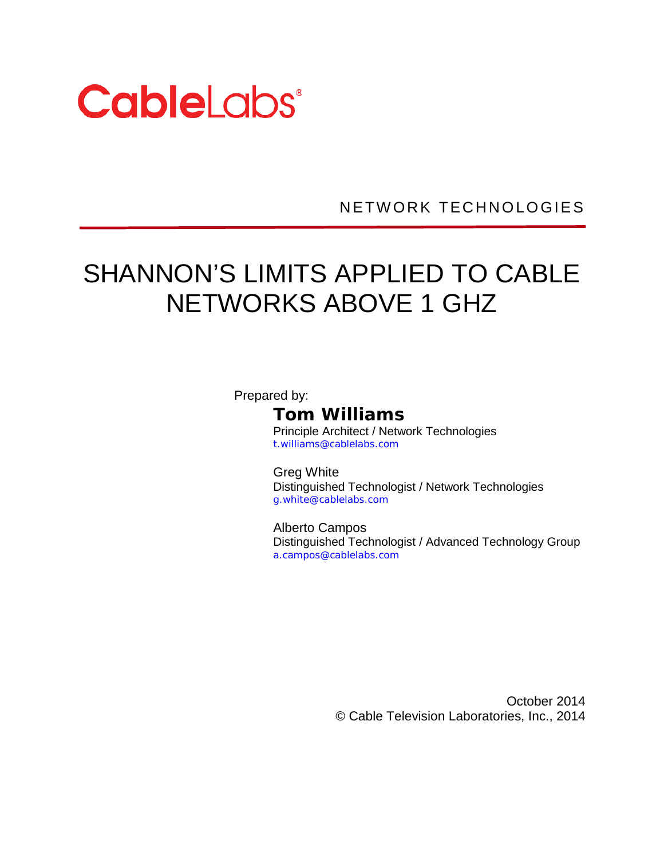

NETWORK TECHNOLOGIES

# SHANNON'S LIMITS APPLIED TO CABLE NETWORKS ABOVE 1 GHZ

Prepared by:

**Tom Williams**

Principle Architect / Network Technologies t.williams@cablelabs.com

Greg White Distinguished Technologist / Network Technologies g.white@cablelabs.com

Alberto Campos Distinguished Technologist / Advanced Technology Group a.campos@cablelabs.com

> October 2014 © Cable Television Laboratories, Inc., 2014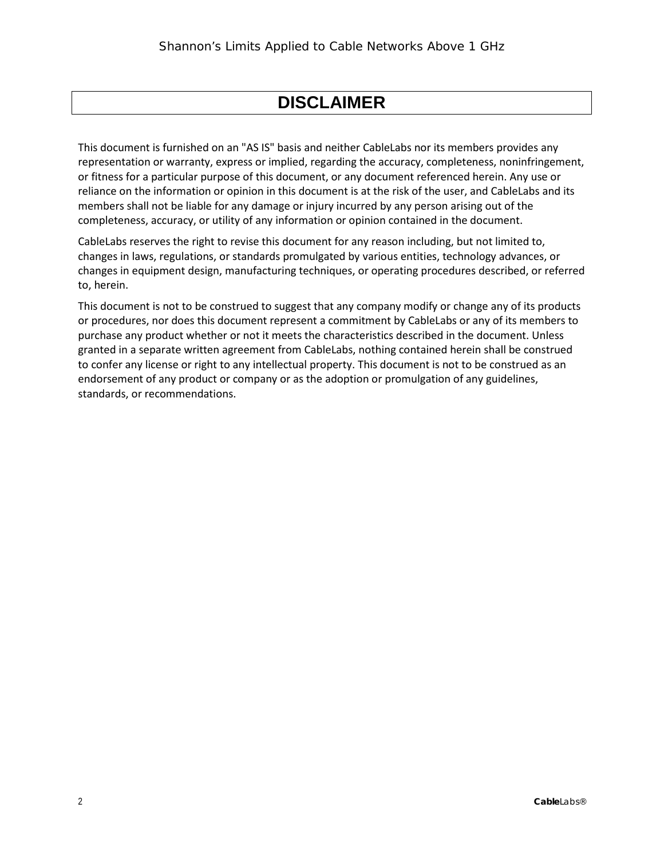#### **DISCLAIMER**

This document is furnished on an "AS IS" basis and neither CableLabs nor its members provides any representation or warranty, express or implied, regarding the accuracy, completeness, noninfringement, or fitness for a particular purpose of this document, or any document referenced herein. Any use or reliance on the information or opinion in this document is at the risk of the user, and CableLabs and its members shall not be liable for any damage or injury incurred by any person arising out of the completeness, accuracy, or utility of any information or opinion contained in the document.

CableLabs reserves the right to revise this document for any reason including, but not limited to, changes in laws, regulations, or standards promulgated by various entities, technology advances, or changes in equipment design, manufacturing techniques, or operating procedures described, or referred to, herein.

This document is not to be construed to suggest that any company modify or change any of its products or procedures, nor does this document represent a commitment by CableLabs or any of its members to purchase any product whether or not it meets the characteristics described in the document. Unless granted in a separate written agreement from CableLabs, nothing contained herein shall be construed to confer any license or right to any intellectual property. This document is not to be construed as an endorsement of any product or company or as the adoption or promulgation of any guidelines, standards, or recommendations.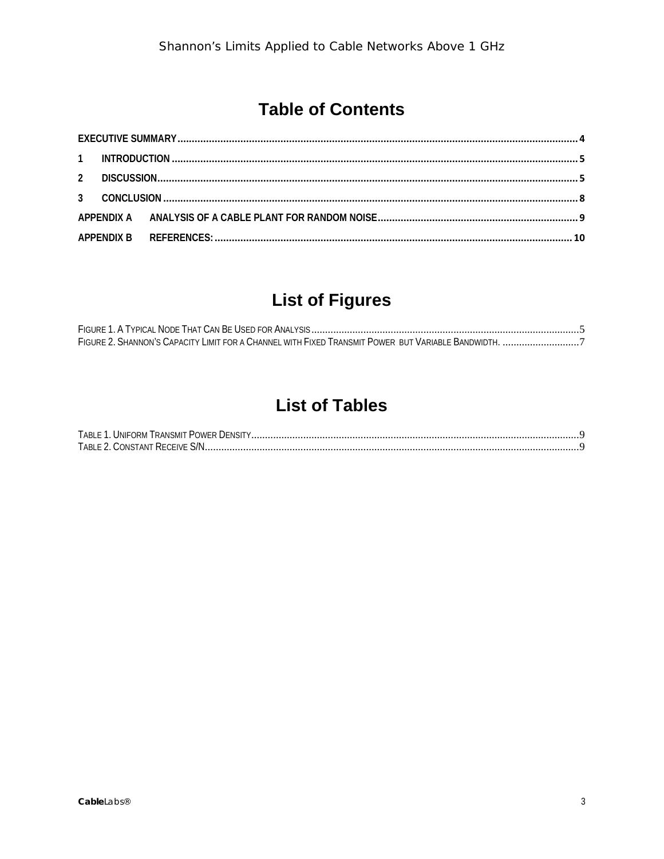# **Table of Contents**

# **List of Figures**

# **List of Tables**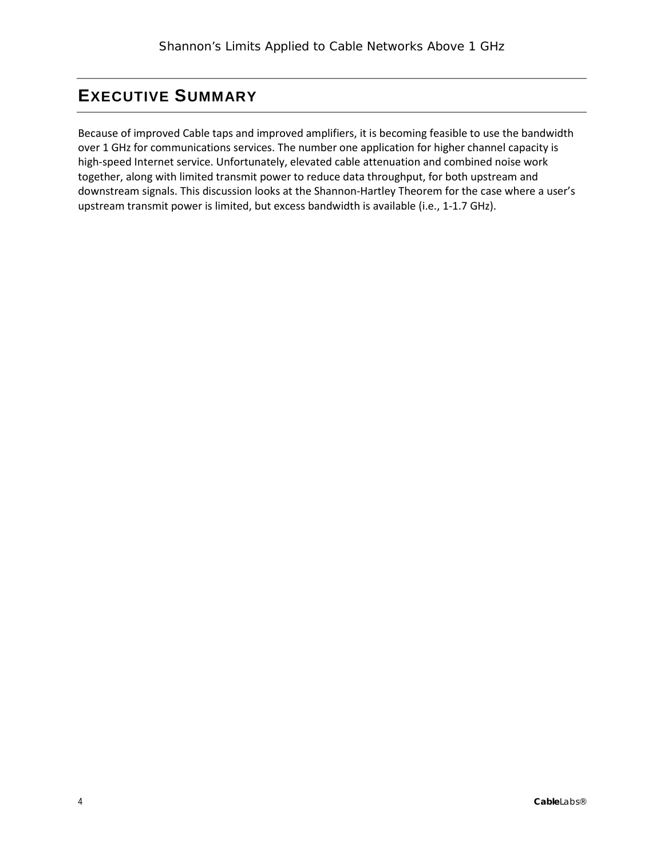#### <span id="page-3-0"></span>**EXECUTIVE SUMMARY**

Because of improved Cable taps and improved amplifiers, it is becoming feasible to use the bandwidth over 1 GHz for communications services. The number one application for higher channel capacity is high-speed Internet service. Unfortunately, elevated cable attenuation and combined noise work together, along with limited transmit power to reduce data throughput, for both upstream and downstream signals. This discussion looks at the Shannon-Hartley Theorem for the case where a user's upstream transmit power is limited, but excess bandwidth is available (i.e., 1-1.7 GHz).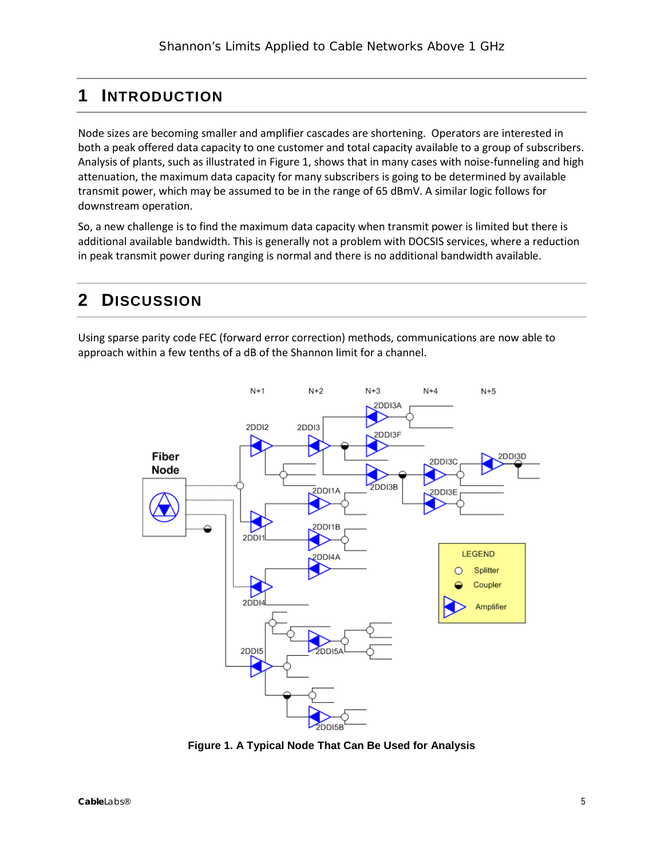#### <span id="page-4-0"></span>**1 INTRODUCTION**

Node sizes are becoming smaller and amplifier cascades are shortening. Operators are interested in both a peak offered data capacity to one customer and total capacity available to a group of subscribers. Analysis of plants, such as illustrated i[n Figure 1,](#page-4-2) shows that in many cases with noise-funneling and high attenuation, the maximum data capacity for many subscribers is going to be determined by available transmit power, which may be assumed to be in the range of 65 dBmV. A similar logic follows for downstream operation.

So, a new challenge is to find the maximum data capacity when transmit power is limited but there is additional available bandwidth. This is generally not a problem with DOCSIS services, where a reduction in peak transmit power during ranging is normal and there is no additional bandwidth available.

#### <span id="page-4-1"></span>**2 DISCUSSION**

Using sparse parity code FEC (forward error correction) methods, communications are now able to approach within a few tenths of a dB of the Shannon limit for a channel.



<span id="page-4-2"></span>**Figure 1. A Typical Node That Can Be Used for Analysis**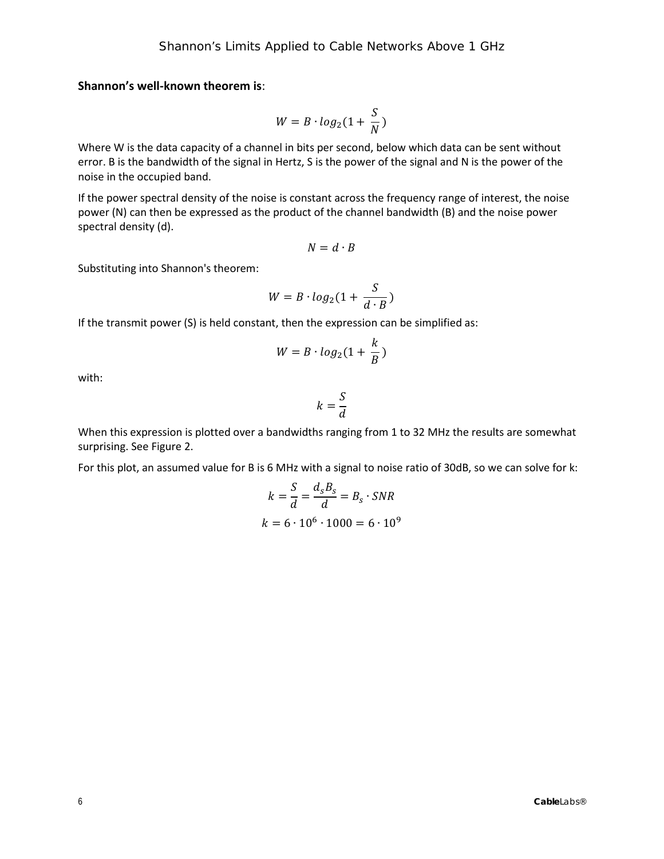**Shannon's well-known theorem is**:

$$
W = B \cdot log_2(1 + \frac{S}{N})
$$

Where W is the data capacity of a channel in bits per second, below which data can be sent without error. B is the bandwidth of the signal in Hertz, S is the power of the signal and N is the power of the noise in the occupied band.

If the power spectral density of the noise is constant across the frequency range of interest, the noise power (N) can then be expressed as the product of the channel bandwidth (B) and the noise power spectral density (d).

$$
N=d\cdot B
$$

Substituting into Shannon's theorem:

$$
W = B \cdot log_2(1 + \frac{S}{d \cdot B})
$$

If the transmit power (S) is held constant, then the expression can be simplified as:

$$
W = B \cdot log_2(1 + \frac{k}{B})
$$

with:

$$
k=\frac{S}{d}
$$

When this expression is plotted over a bandwidths ranging from 1 to 32 MHz the results are somewhat surprising. Se[e Figure 2.](#page-6-0)

For this plot, an assumed value for B is 6 MHz with a signal to noise ratio of 30dB, so we can solve for k:

$$
k = \frac{S}{d} = \frac{d_s B_s}{d} = B_s \cdot SNR
$$

$$
k = 6 \cdot 10^6 \cdot 1000 = 6 \cdot 10^9
$$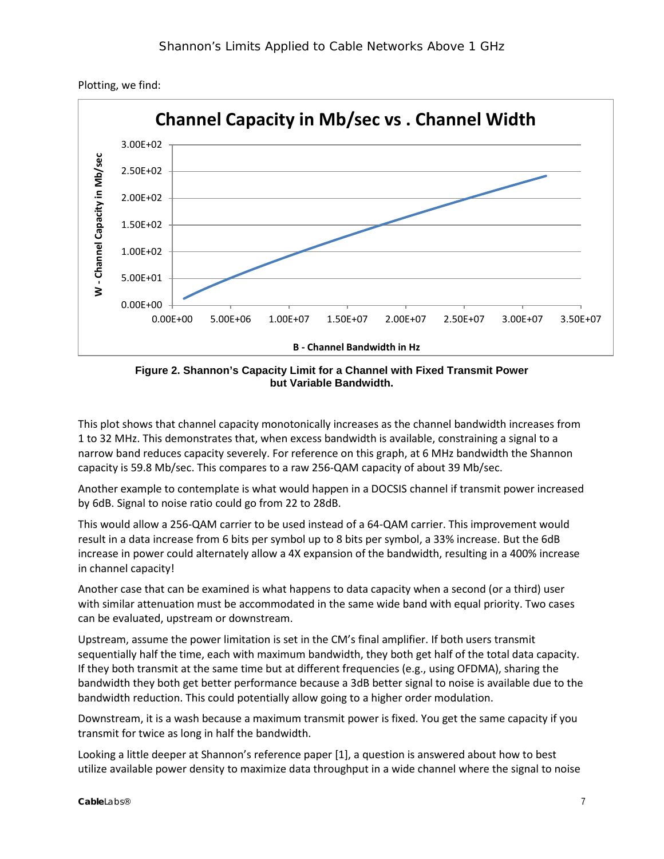

Plotting, we find:



<span id="page-6-0"></span>This plot shows that channel capacity monotonically increases as the channel bandwidth increases from 1 to 32 MHz. This demonstrates that, when excess bandwidth is available, constraining a signal to a narrow band reduces capacity severely. For reference on this graph, at 6 MHz bandwidth the Shannon capacity is 59.8 Mb/sec. This compares to a raw 256-QAM capacity of about 39 Mb/sec.

Another example to contemplate is what would happen in a DOCSIS channel if transmit power increased by 6dB. Signal to noise ratio could go from 22 to 28dB.

This would allow a 256-QAM carrier to be used instead of a 64-QAM carrier. This improvement would result in a data increase from 6 bits per symbol up to 8 bits per symbol, a 33% increase. But the 6dB increase in power could alternately allow a 4X expansion of the bandwidth, resulting in a 400% increase in channel capacity!

Another case that can be examined is what happens to data capacity when a second (or a third) user with similar attenuation must be accommodated in the same wide band with equal priority. Two cases can be evaluated, upstream or downstream.

Upstream, assume the power limitation is set in the CM's final amplifier. If both users transmit sequentially half the time, each with maximum bandwidth, they both get half of the total data capacity. If they both transmit at the same time but at different frequencies (e.g., using OFDMA), sharing the bandwidth they both get better performance because a 3dB better signal to noise is available due to the bandwidth reduction. This could potentially allow going to a higher order modulation.

Downstream, it is a wash because a maximum transmit power is fixed. You get the same capacity if you transmit for twice as long in half the bandwidth.

Looking a little deeper at Shannon's reference paper [\[1\]](#page-9-1), a question is answered about how to best utilize available power density to maximize data throughput in a wide channel where the signal to noise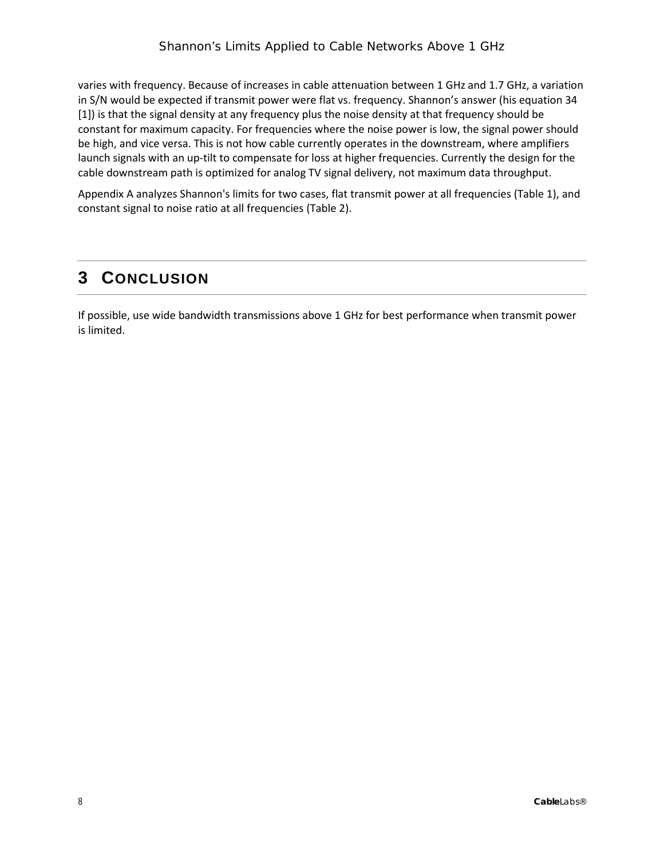varies with frequency. Because of increases in cable attenuation between 1 GHz and 1.7 GHz, a variation in S/N would be expected if transmit power were flat vs. frequency. Shannon's answer (his equation 34 [\[1\]](#page-9-1)) is that the signal density at any frequency plus the noise density at that frequency should be constant for maximum capacity. For frequencies where the noise power is low, the signal power should be high, and vice versa. This is not how cable currently operates in the downstream, where amplifiers launch signals with an up-tilt to compensate for loss at higher frequencies. Currently the design for the cable downstream path is optimized for analog TV signal delivery, not maximum data throughput.

[Appendix A](#page-8-0) analyzes Shannon's limits for two cases, flat transmit power at all frequencies [\(Table 1\)](#page-8-1), and constant signal to noise ratio at all frequencies [\(Table 2\)](#page-8-2).

#### <span id="page-7-0"></span>**3 CONCLUSION**

If possible, use wide bandwidth transmissions above 1 GHz for best performance when transmit power is limited.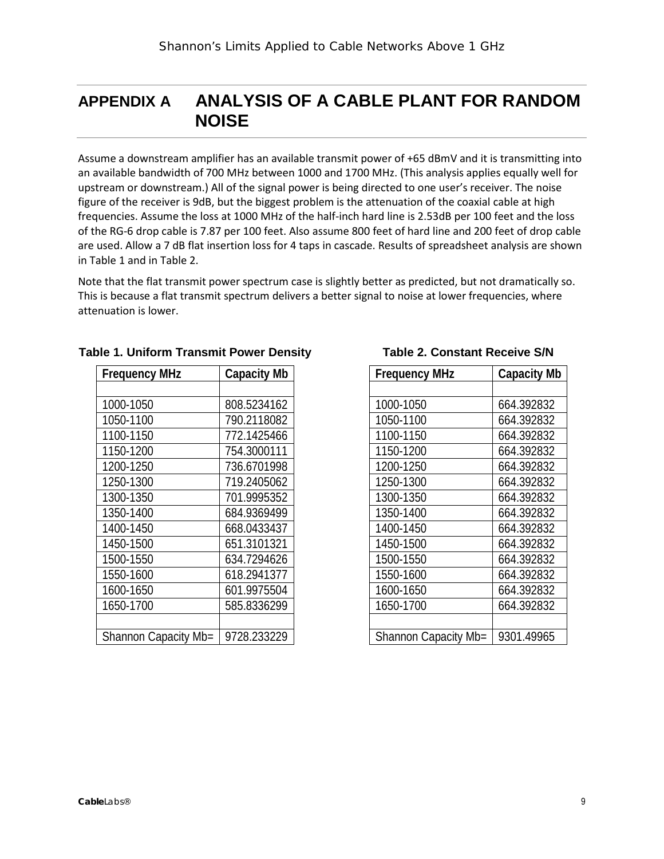### <span id="page-8-0"></span>**APPENDIX A ANALYSIS OF A CABLE PLANT FOR RANDOM NOISE**

Assume a downstream amplifier has an available transmit power of +65 dBmV and it is transmitting into an available bandwidth of 700 MHz between 1000 and 1700 MHz. (This analysis applies equally well for upstream or downstream.) All of the signal power is being directed to one user's receiver. The noise figure of the receiver is 9dB, but the biggest problem is the attenuation of the coaxial cable at high frequencies. Assume the loss at 1000 MHz of the half-inch hard line is 2.53dB per 100 feet and the loss of the RG-6 drop cable is 7.87 per 100 feet. Also assume 800 feet of hard line and 200 feet of drop cable are used. Allow a 7 dB flat insertion loss for 4 taps in cascade. Results of spreadsheet analysis are shown in [Table 1](#page-8-1) and in [Table 2.](#page-8-2)

Note that the flat transmit power spectrum case is slightly better as predicted, but not dramatically so. This is because a flat transmit spectrum delivers a better signal to noise at lower frequencies, where attenuation is lower.

| <b>Frequency MHz</b> | <b>Capacity Mb</b> |
|----------------------|--------------------|
|                      |                    |
| 1000-1050            | 808.5234162        |
| 1050-1100            | 790.2118082        |
| 1100-1150            | 772.1425466        |
| 1150-1200            | 754.3000111        |
| 1200-1250            | 736.6701998        |
| 1250-1300            | 719.2405062        |
| 1300-1350            | 701.9995352        |
| 1350-1400            | 684.9369499        |
| 1400-1450            | 668.0433437        |
| 1450-1500            | 651.3101321        |
| 1500-1550            | 634.7294626        |
| 1550-1600            | 618.2941377        |
| 1600-1650            | 601.9975504        |
| 1650-1700            | 585.8336299        |
|                      |                    |
| Shannon Capacity Mb= | 9728.233229        |

#### <span id="page-8-1"></span>**Table 1. Uniform Transmit Power Density**

<span id="page-8-2"></span>

| <b>Frequency MHz</b> | <b>Capacity Mb</b> |
|----------------------|--------------------|
|                      |                    |
| 1000-1050            | 664.392832         |
| 1050-1100            | 664.392832         |
| 1100-1150            | 664.392832         |
| 1150-1200            | 664.392832         |
| 1200-1250            | 664.392832         |
| 1250-1300            | 664.392832         |
| 1300-1350            | 664.392832         |
| 1350-1400            | 664.392832         |
| 1400-1450            | 664.392832         |
| 1450-1500            | 664.392832         |
| 1500-1550            | 664.392832         |
| 1550-1600            | 664.392832         |
| 1600-1650            | 664.392832         |
| 1650-1700            | 664.392832         |
|                      |                    |
| Shannon Capacity Mb= | 9301.49965         |

#### **Table 2. Constant Receive S/N**